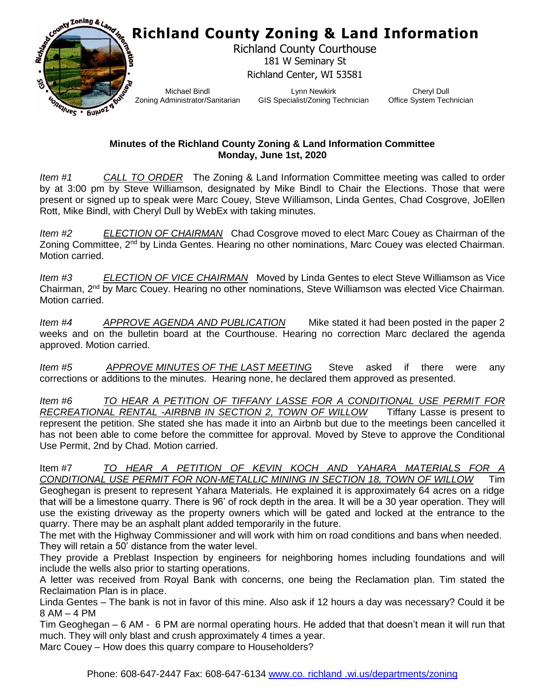

## **Minutes of the Richland County Zoning & Land Information Committee Monday, June 1st, 2020**

*Item #1 CALL TO ORDER* The Zoning & Land Information Committee meeting was called to order by at 3:00 pm by Steve Williamson, designated by Mike Bindl to Chair the Elections. Those that were present or signed up to speak were Marc Couey, Steve Williamson, Linda Gentes, Chad Cosgrove, JoEllen Rott, Mike Bindl, with Cheryl Dull by WebEx with taking minutes.

*Item #2 ELECTION OF CHAIRMAN* Chad Cosgrove moved to elect Marc Couey as Chairman of the Zoning Committee, 2<sup>nd</sup> by Linda Gentes. Hearing no other nominations, Marc Couey was elected Chairman. Motion carried.

*Item #3 ELECTION OF VICE CHAIRMAN* Moved by Linda Gentes to elect Steve Williamson as Vice Chairman, 2<sup>nd</sup> by Marc Couey. Hearing no other nominations, Steve Williamson was elected Vice Chairman. Motion carried.

*Item #4 APPROVE AGENDA AND PUBLICATION* Mike stated it had been posted in the paper 2 weeks and on the bulletin board at the Courthouse. Hearing no correction Marc declared the agenda approved. Motion carried.

*Item #5 APPROVE MINUTES OF THE LAST MEETING* Steve asked if there were any corrections or additions to the minutes. Hearing none, he declared them approved as presented.

*Item #6 TO HEAR A PETITION OF TIFFANY LASSE FOR A CONDITIONAL USE PERMIT FOR RECREATIONAL RENTAL -AIRBNB IN SECTION 2, TOWN OF WILLOW* Tiffany Lasse is present to represent the petition. She stated she has made it into an Airbnb but due to the meetings been cancelled it has not been able to come before the committee for approval. Moved by Steve to approve the Conditional Use Permit, 2nd by Chad. Motion carried.

Item #7 *TO HEAR A PETITION OF KEVIN KOCH AND YAHARA MATERIALS FOR A CONDITIONAL USE PERMIT FOR NON-METALLIC MINING IN SECTION 18, TOWN OF WILLOW* Tim Geoghegan is present to represent Yahara Materials. He explained it is approximately 64 acres on a ridge that will be a limestone quarry. There is 96' of rock depth in the area. It will be a 30 year operation. They will use the existing driveway as the property owners which will be gated and locked at the entrance to the quarry. There may be an asphalt plant added temporarily in the future.

The met with the Highway Commissioner and will work with him on road conditions and bans when needed. They will retain a 50' distance from the water level.

They provide a Preblast Inspection by engineers for neighboring homes including foundations and will include the wells also prior to starting operations.

A letter was received from Royal Bank with concerns, one being the Reclamation plan. Tim stated the Reclaimation Plan is in place.

Linda Gentes – The bank is not in favor of this mine. Also ask if 12 hours a day was necessary? Could it be 8 AM – 4 PM

Tim Geoghegan – 6 AM - 6 PM are normal operating hours. He added that that doesn't mean it will run that much. They will only blast and crush approximately 4 times a year.

Marc Couey – How does this quarry compare to Householders?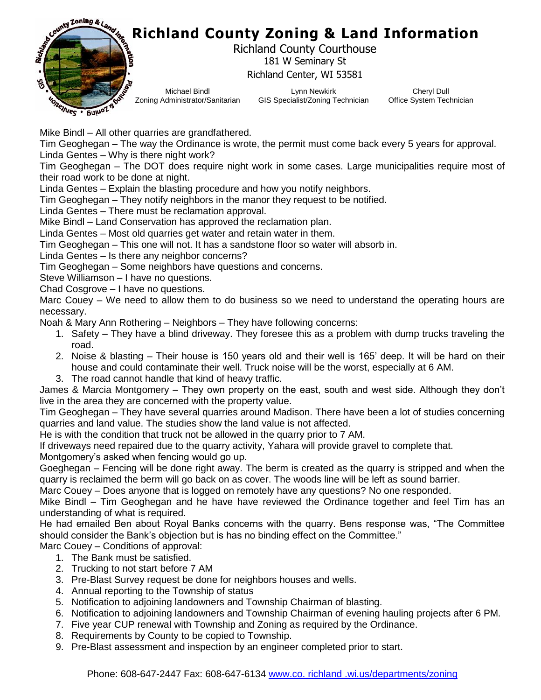

Michael Bindl Zoning Administrator/Sanitarian

Lynn Newkirk GIS Specialist/Zoning Technician

Cheryl Dull Office System Technician

Mike Bindl – All other quarries are grandfathered.

Tim Geoghegan – The way the Ordinance is wrote, the permit must come back every 5 years for approval. Linda Gentes – Why is there night work?

Tim Geoghegan – The DOT does require night work in some cases. Large municipalities require most of their road work to be done at night.

Linda Gentes – Explain the blasting procedure and how you notify neighbors.

Tim Geoghegan – They notify neighbors in the manor they request to be notified.

Linda Gentes – There must be reclamation approval.

Mike Bindl – Land Conservation has approved the reclamation plan.

Linda Gentes – Most old quarries get water and retain water in them.

Tim Geoghegan – This one will not. It has a sandstone floor so water will absorb in.

Linda Gentes – Is there any neighbor concerns?

Tim Geoghegan – Some neighbors have questions and concerns.

Steve Williamson – I have no questions.

Chad Cosgrove – I have no questions.

Marc Couey – We need to allow them to do business so we need to understand the operating hours are necessary.

Noah & Mary Ann Rothering – Neighbors – They have following concerns:

- 1. Safety They have a blind driveway. They foresee this as a problem with dump trucks traveling the road.
- 2. Noise & blasting Their house is 150 years old and their well is 165' deep. It will be hard on their house and could contaminate their well. Truck noise will be the worst, especially at 6 AM.
- 3. The road cannot handle that kind of heavy traffic.

James & Marcia Montgomery – They own property on the east, south and west side. Although they don't live in the area they are concerned with the property value.

Tim Geoghegan – They have several quarries around Madison. There have been a lot of studies concerning quarries and land value. The studies show the land value is not affected.

He is with the condition that truck not be allowed in the quarry prior to 7 AM.

If driveways need repaired due to the quarry activity, Yahara will provide gravel to complete that. Montgomery's asked when fencing would go up.

Goeghegan – Fencing will be done right away. The berm is created as the quarry is stripped and when the quarry is reclaimed the berm will go back on as cover. The woods line will be left as sound barrier.

Marc Couey – Does anyone that is logged on remotely have any questions? No one responded.

Mike Bindl – Tim Geoghegan and he have have reviewed the Ordinance together and feel Tim has an understanding of what is required.

He had emailed Ben about Royal Banks concerns with the quarry. Bens response was, "The Committee should consider the Bank's objection but is has no binding effect on the Committee."

Marc Couey – Conditions of approval:

- 1. The Bank must be satisfied.
- 2. Trucking to not start before 7 AM
- 3. Pre-Blast Survey request be done for neighbors houses and wells.
- 4. Annual reporting to the Township of status
- 5. Notification to adjoining landowners and Township Chairman of blasting.
- 6. Notification to adjoining landowners and Township Chairman of evening hauling projects after 6 PM.
- 7. Five year CUP renewal with Township and Zoning as required by the Ordinance.
- 8. Requirements by County to be copied to Township.
- 9. Pre-Blast assessment and inspection by an engineer completed prior to start.